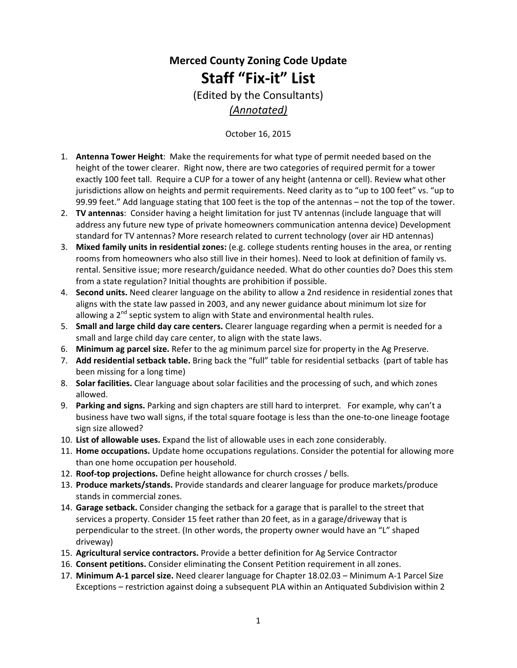## **Merced County Zoning Code Update Staff "Fix‐it" List**

## (Edited by the Consultants) *(Annotated)*

October 16, 2015

- 1. **Antenna Tower Height**: Make the requirements for what type of permit needed based on the height of the tower clearer. Right now, there are two categories of required permit for a tower exactly 100 feet tall. Require a CUP for a tower of any height (antenna or cell). Review what other jurisdictions allow on heights and permit requirements. Need clarity as to "up to 100 feet" vs. "up to 99.99 feet." Add language stating that 100 feet is the top of the antennas – not the top of the tower.
- 2. **TV antennas**: Consider having a height limitation for just TV antennas (include language that will address any future new type of private homeowners communication antenna device) Development standard for TV antennas? More research related to current technology (over air HD antennas)
- 3. **Mixed family units in residential zones:** (e.g. college students renting houses in the area, or renting rooms from homeowners who also still live in their homes). Need to look at definition of family vs. rental. Sensitive issue; more research/guidance needed. What do other counties do? Does this stem from a state regulation? Initial thoughts are prohibition if possible.
- 4. **Second units.** Need clearer language on the ability to allow a 2nd residence in residential zones that aligns with the state law passed in 2003, and any newer guidance about minimum lot size for allowing a  $2<sup>nd</sup>$  septic system to align with State and environmental health rules.
- 5. **Small and large child day care centers.** Clearer language regarding when a permit is needed for a small and large child day care center, to align with the state laws.
- 6. **Minimum ag parcel size.** Refer to the ag minimum parcel size for property in the Ag Preserve.
- 7. **Add residential setback table.** Bring back the "full" table for residential setbacks (part of table has been missing for a long time)
- 8. **Solar facilities.** Clear language about solar facilities and the processing of such, and which zones allowed.
- 9. **Parking and signs.** Parking and sign chapters are still hard to interpret. For example, why can't a business have two wall signs, if the total square footage is less than the one-to-one lineage footage sign size allowed?
- 10. **List of allowable uses.** Expand the list of allowable uses in each zone considerably.
- 11. **Home occupations.** Update home occupations regulations. Consider the potential for allowing more than one home occupation per household.
- 12. **Roof‐top projections.** Define height allowance for church crosses / bells.
- 13. **Produce markets/stands.** Provide standards and clearer language for produce markets/produce stands in commercial zones.
- 14. **Garage setback.** Consider changing the setback for a garage that is parallel to the street that services a property. Consider 15 feet rather than 20 feet, as in a garage/driveway that is perpendicular to the street. (In other words, the property owner would have an "L" shaped driveway)
- 15. **Agricultural service contractors.** Provide a better definition for Ag Service Contractor
- 16. **Consent petitions.** Consider eliminating the Consent Petition requirement in all zones.
- 17. **Minimum A‐1 parcel size.** Need clearer language for Chapter 18.02.03 Minimum A‐1 Parcel Size Exceptions – restriction against doing a subsequent PLA within an Antiquated Subdivision within 2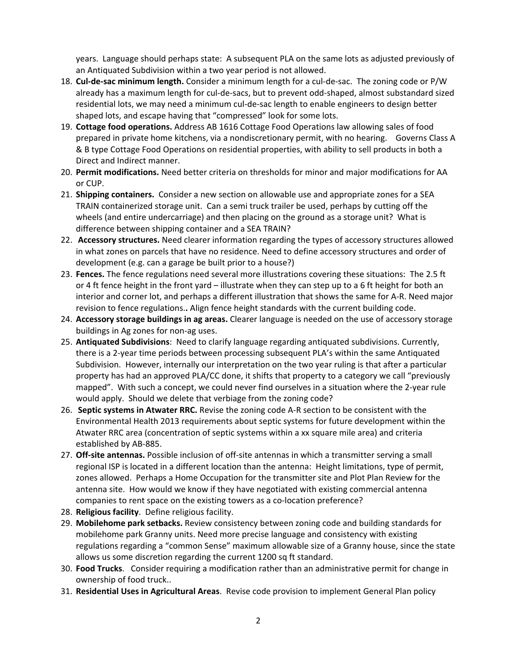years. Language should perhaps state: A subsequent PLA on the same lots as adjusted previously of an Antiquated Subdivision within a two year period is not allowed.

- 18. **Cul‐de‐sac minimum length.** Consider a minimum length for a cul‐de‐sac. The zoning code or P/W already has a maximum length for cul‐de‐sacs, but to prevent odd‐shaped, almost substandard sized residential lots, we may need a minimum cul‐de‐sac length to enable engineers to design better shaped lots, and escape having that "compressed" look for some lots.
- 19. **Cottage food operations.** Address AB 1616 Cottage Food Operations law allowing sales of food prepared in private home kitchens, via a nondiscretionary permit, with no hearing. Governs Class A & B type Cottage Food Operations on residential properties, with ability to sell products in both a Direct and Indirect manner.
- 20. **Permit modifications.** Need better criteria on thresholds for minor and major modifications for AA or CUP.
- 21. **Shipping containers.** Consider a new section on allowable use and appropriate zones for a SEA TRAIN containerized storage unit. Can a semi truck trailer be used, perhaps by cutting off the wheels (and entire undercarriage) and then placing on the ground as a storage unit? What is difference between shipping container and a SEA TRAIN?
- 22. **Accessory structures.** Need clearer information regarding the types of accessory structures allowed in what zones on parcels that have no residence. Need to define accessory structures and order of development (e.g. can a garage be built prior to a house?)
- 23. **Fences.** The fence regulations need several more illustrations covering these situations: The 2.5 ft or 4 ft fence height in the front yard – illustrate when they can step up to a 6 ft height for both an interior and corner lot, and perhaps a different illustration that shows the same for A‐R. Need major revision to fence regulations.**.** Align fence height standards with the current building code.
- 24. **Accessory storage buildings in ag areas.** Clearer language is needed on the use of accessory storage buildings in Ag zones for non‐ag uses.
- 25. **Antiquated Subdivisions**: Need to clarify language regarding antiquated subdivisions. Currently, there is a 2‐year time periods between processing subsequent PLA's within the same Antiquated Subdivision. However, internally our interpretation on the two year ruling is that after a particular property has had an approved PLA/CC done, it shifts that property to a category we call "previously mapped". With such a concept, we could never find ourselves in a situation where the 2‐year rule would apply. Should we delete that verbiage from the zoning code?
- 26. **Septic systems in Atwater RRC.** Revise the zoning code A‐R section to be consistent with the Environmental Health 2013 requirements about septic systems for future development within the Atwater RRC area (concentration of septic systems within a xx square mile area) and criteria established by AB‐885.
- 27. **Off‐site antennas.** Possible inclusion of off‐site antennas in which a transmitter serving a small regional ISP is located in a different location than the antenna: Height limitations, type of permit, zones allowed. Perhaps a Home Occupation for the transmitter site and Plot Plan Review for the antenna site. How would we know if they have negotiated with existing commercial antenna companies to rent space on the existing towers as a co-location preference?
- 28. **Religious facility**. Define religious facility.
- 29. **Mobilehome park setbacks.** Review consistency between zoning code and building standards for mobilehome park Granny units. Need more precise language and consistency with existing regulations regarding a "common Sense" maximum allowable size of a Granny house, since the state allows us some discretion regarding the current 1200 sq ft standard.
- 30. **Food Trucks**. Consider requiring a modification rather than an administrative permit for change in ownership of food truck..
- 31. **Residential Uses in Agricultural Areas**. Revise code provision to implement General Plan policy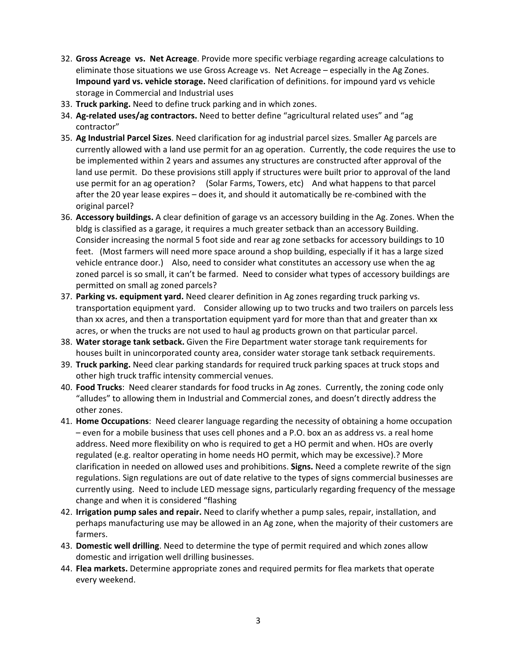- 32. **Gross Acreage vs. Net Acreage**. Provide more specific verbiage regarding acreage calculations to eliminate those situations we use Gross Acreage vs. Net Acreage – especially in the Ag Zones. **Impound yard vs. vehicle storage.** Need clarification of definitions. for impound yard vs vehicle storage in Commercial and Industrial uses
- 33. **Truck parking.** Need to define truck parking and in which zones.
- 34. **Ag‐related uses/ag contractors.** Need to better define "agricultural related uses" and "ag contractor"
- 35. **Ag Industrial Parcel Sizes**. Need clarification for ag industrial parcel sizes. Smaller Ag parcels are currently allowed with a land use permit for an ag operation. Currently, the code requires the use to be implemented within 2 years and assumes any structures are constructed after approval of the land use permit. Do these provisions still apply if structures were built prior to approval of the land use permit for an ag operation? (Solar Farms, Towers, etc) And what happens to that parcel after the 20 year lease expires – does it, and should it automatically be re‐combined with the original parcel?
- 36. **Accessory buildings.** A clear definition of garage vs an accessory building in the Ag. Zones. When the bldg is classified as a garage, it requires a much greater setback than an accessory Building. Consider increasing the normal 5 foot side and rear ag zone setbacks for accessory buildings to 10 feet. (Most farmers will need more space around a shop building, especially if it has a large sized vehicle entrance door.) Also, need to consider what constitutes an accessory use when the ag zoned parcel is so small, it can't be farmed. Need to consider what types of accessory buildings are permitted on small ag zoned parcels?
- 37. **Parking vs. equipment yard.** Need clearer definition in Ag zones regarding truck parking vs. transportation equipment yard. Consider allowing up to two trucks and two trailers on parcels less than xx acres, and then a transportation equipment yard for more than that and greater than xx acres, or when the trucks are not used to haul ag products grown on that particular parcel.
- 38. **Water storage tank setback.** Given the Fire Department water storage tank requirements for houses built in unincorporated county area, consider water storage tank setback requirements.
- 39. **Truck parking.** Need clear parking standards for required truck parking spaces at truck stops and other high truck traffic intensity commercial venues.
- 40. **Food Trucks**: Need clearer standards for food trucks in Ag zones. Currently, the zoning code only "alludes" to allowing them in Industrial and Commercial zones, and doesn't directly address the other zones.
- 41. **Home Occupations**: Need clearer language regarding the necessity of obtaining a home occupation – even for a mobile business that uses cell phones and a P.O. box an as address vs. a real home address. Need more flexibility on who is required to get a HO permit and when. HOs are overly regulated (e.g. realtor operating in home needs HO permit, which may be excessive).? More clarification in needed on allowed uses and prohibitions. **Signs.** Need a complete rewrite of the sign regulations. Sign regulations are out of date relative to the types of signs commercial businesses are currently using. Need to include LED message signs, particularly regarding frequency of the message change and when it is considered "flashing
- 42. **Irrigation pump sales and repair.** Need to clarify whether a pump sales, repair, installation, and perhaps manufacturing use may be allowed in an Ag zone, when the majority of their customers are farmers.
- 43. **Domestic well drilling**. Need to determine the type of permit required and which zones allow domestic and irrigation well drilling businesses.
- 44. **Flea markets.** Determine appropriate zones and required permits for flea markets that operate every weekend.